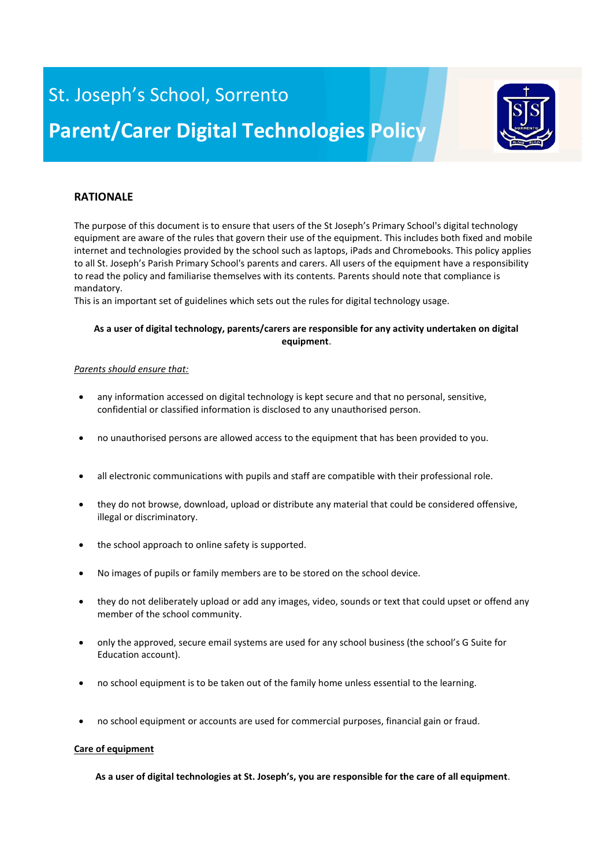# St. Joseph's School, Sorrento **Parent/Carer Digital Technologies Policy**



### **RATIONALE**

The purpose of this document is to ensure that users of the St Joseph's Primary School's digital technology equipment are aware of the rules that govern their use of the equipment. This includes both fixed and mobile internet and technologies provided by the school such as laptops, iPads and Chromebooks. This policy applies to all St. Joseph's Parish Primary School's parents and carers. All users of the equipment have a responsibility to read the policy and familiarise themselves with its contents. Parents should note that compliance is mandatory.

This is an important set of guidelines which sets out the rules for digital technology usage.

#### **As a user of digital technology, parents/carers are responsible for any activity undertaken on digital equipment**.

#### *Parents should ensure that:*

- any information accessed on digital technology is kept secure and that no personal, sensitive, confidential or classified information is disclosed to any unauthorised person.
- no unauthorised persons are allowed access to the equipment that has been provided to you.
- all electronic communications with pupils and staff are compatible with their professional role.
- they do not browse, download, upload or distribute any material that could be considered offensive, illegal or discriminatory.
- the school approach to online safety is supported.
- No images of pupils or family members are to be stored on the school device.
- they do not deliberately upload or add any images, video, sounds or text that could upset or offend any member of the school community.
- only the approved, secure email systems are used for any school business (the school's G Suite for Education account).
- no school equipment is to be taken out of the family home unless essential to the learning.
- no school equipment or accounts are used for commercial purposes, financial gain or fraud.

#### **Care of equipment**

**As a user of digital technologies at St. Joseph's, you are responsible for the care of all equipment**.